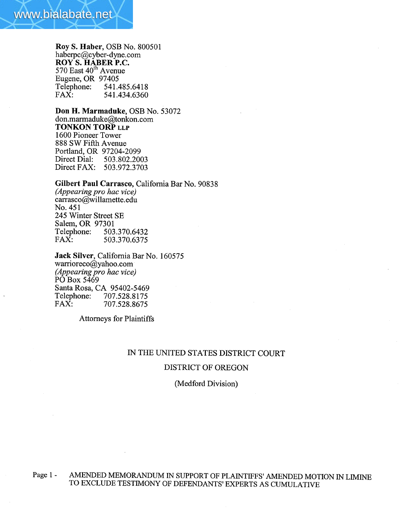

Roy S. Haber, OSB No. 800501 haberpc@cyber-dyne.com ROY S. HABER P.C.  $570$  East  $40^{\text{th}}$  Avenue Eugene, OR 97405<br>Telephone: 541.4 Telephone: 541.485.6418<br>FAX: 541.434.6360 541.434.6360

Don H. Marmaduke, OSB No. 53072 don.marmaduke@tonkon.com TONKON TORP LLP 1600 Pioneer Tower 888 SW Fifth Avenue Portland, OR 97204-2099 Direct Dial: 503.802.2003 Direct FAX: 503.972.3703

Gilbert Paul Carrasco, California Bar No. 90838 (Appearing pro hac vice) carrasco@willamette.edu No. 451 245 Winter Street SE Salem, OR 97301<br>Telephone: 503 Telephone: 503.370.6432<br>FAX: 503.370.6375 FAX: 503.370.6375

Jack Silver, California Bar No. 160575 warrioreco@yahoo.com (Appearing pro hac vice) PO Box 5469 Santa Rosa, CA 95402-5469<br>Telephone: 707.528.8175 Telephone: 707.528.8175<br>FAX: 707.528.8675 FAX: 707.528.8675

Attorneys for Plaintiffs

# IN THE UNITED STATES DISTRICT COURT

#### DISTRICT OF OREGON

(Medford Division)

Page 1 - AMENDED MEMORANDUM IN SUPPORT OF PLAINTIFFS' AMENDED MOTION IN LIMINE TO EXCLUDE TESTIMONY OF DEFENDANTS' EXPERTS AS CUMULATIVE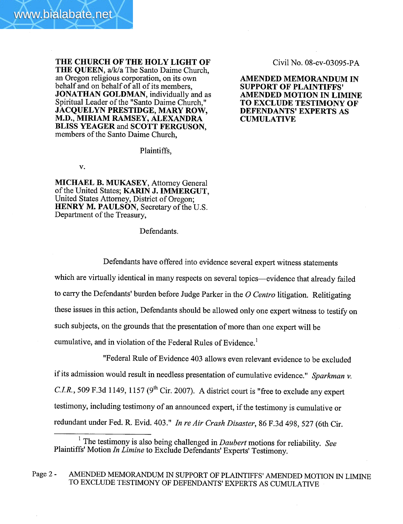THE CHURCH OF THE HOLY LIGHT OF THE QUEEN, a/k/a The Santo Daime Church, an Oregon religious corporation, on its own behalf and on behalf of all of its members, JONATHAN GOLDMAN, individually and as Spiritual Leader of the "Santo Daime Church," JACQUELYN PRESTIDGE, MARY ROW,

M.D., MIRIAM RAMSEY, ALEXADRA BLISS YEAGER and SCOTT FERGUSON,

members of the Santo Daime Church,

Civil No. 08-cv-03095-PA

AMENDED MEMORANDUM IN SUPPORT OF PLAINTIFFS' AMENDED MOTION IN LIMINE TO EXCLUDE TESTIMONY OF DEFENDANTS' EXPERTS AS **CUMULATIVE** 

Plaintiffs,

v.

MICHAEL B. MUKASEY, Attorney General of the United States; KARIN J. IMMERGUT, United States Attorney, District of Oregon; HENRY M. PAULSON, Secretary of the U.S. Department of the Treasury,

Defendants.

Defendants have offered into evidence several expert witness statements which are virtually identical in many respects on several topics—evidence that already failed to carry the Defendants' burden before Judge Parker in the  $O$  Centro litigation. Relitigating these issues in this action, Defendants should be allowed only one expert witness to testify on such subjects, on the grounds that the presentation of more than one expert wil be cumulative, and in violation of the Federal Rules of Evidence.<sup>1</sup>

"Federal Rule of Evidence 403 allows even relevant evidence to be excluded if its admission would result in needless presentation of cumulative evidence." Sparkman  $v$ . C.I.R., 509 F.3d 1149, 1157 (9<sup>th</sup> Cir. 2007). A district court is "free to exclude any expert testimony, including testimony of an announced expert, if the testimony is cumulative or redundant under Fed. R. Evid. 403." In re Air Crash Disaster, 86 F.3d 498, 527 (6th Cir.

<sup>1</sup> The testimony is also being challenged in *Daubert* motions for reliability. See Plaintiffs' Motion In Limine to Exclude Defendants' Experts' Testimony.

Page 2 - AMENDED MEMORANDUM IN SUPPORT OF PLAINTIFFS' AMENDED MOTION IN LIMINE TO EXCLUDE TESTIMONY OF DEFENDANTS' EXPERTS AS CUMULATIVE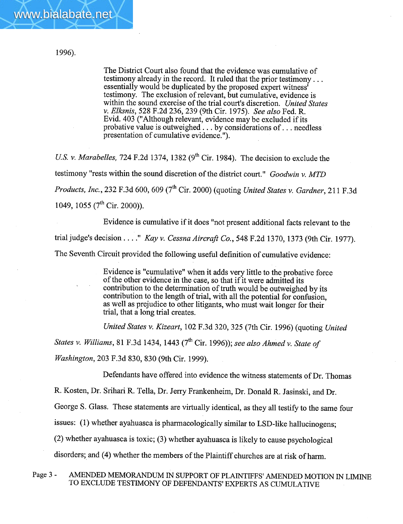www.bialabate.net

The District Court also found that the evidence was cumulative of testimony already in the record. It ruled that the prior testimony. . . essentially would be duplicated by the proposed expert witness' testimony. The exclusion of relevant, but cumulative, evidence is within the sound exercise of the trial court's discretion. United States v. Elksnis, 528 F.2d 236, 239 (9th Cir. 1975). See also Fed. R. Evid. 403 ("Although relevant, evidence may be excluded if its probative value is outweighed. . . by considerations of. . . needless presentation of cumulative evidence. ").

U.S. v. Marabelles, 724 F.2d 1374, 1382 ( $9<sup>th</sup>$  Cir. 1984). The decision to exclude the testimony "rests within the sound discretion of the district court." Goodwin v. MTD Products, Inc., 232 F.3d 600, 609 (7<sup>th</sup> Cir. 2000) (quoting United States v. Gardner, 211 F.3d 1049, 1055 ( $7<sup>th</sup>$  Cir. 2000)).

Evidence is cumulative if it does "not present additional facts relevant to the trial judge's decision . . . . " Kay v. Cessna Aircraft Co., 548 F.2d 1370, 1373 (9th Cir. 1977). The Seventh Circuit provided the following useful definition of cumulative evidence:

> Evidence is "cumulative" when it adds very little to the probative force of the other evidence in the case, so that if it were admitted its contribution to the determination of truth would be outweighed by its contribution to the length of trial, with all the potential for confusion, as well as prejudice to other litigants, who must wait longer for their trial, that a long trial creates.

United States v. Kizeart, 102 F.3d 320,325 (7th Cir. 1996) (quoting United

States v. Williams, 81 F.3d 1434, 1443 ( $7<sup>th</sup>$  Cir. 1996)); see also Ahmed v. State of

Washington, 203 F.3d 830,830 (9th Cir. 1999).

Defendants have offered into evidence the witness statements of Dr. Thomas

R. Kosten, Dr. Srihari R. Tella, Dr. Jerry Frankenheim, Dr. Donald R. Jasinski, and Dr.

George S. Glass. These statements are virtually identical, as they all testify to the same four

issues: (1) whether ayahuasca is pharmacologically similar to LSD-like hallucinogens;

(2) whether ayahuasca is toxic; (3) whether ayahuasca is likely to cause psychological

disorders; and (4) whether the members of the Plaintiff churches are at risk of harm.

Page 3 - AMENDED MEMORANDUM IN SUPPORT OF PLAINTIFFS' AMENDED MOTION IN LIMINE TO EXCLUDE TESTIMONY OF DEFENDANTS' EXPERTS AS CUMULATIVE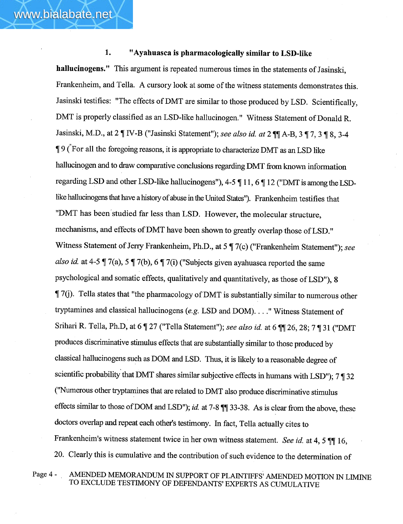### 1. "Ayahuasca is pharmacologically similar to LSD-like

hallucinogens." This argument is repeated numerous times in the statements of Jasinski, Frankenheim, and Tella. A cursory look at some of the witness statements demonstrates this. Jasinski testifies: "The effects of DMT are similar to those produced by LSD. Scientifically, DMT is properly classified as an LSD-like hallucinogen." Witness Statement of Donald R. Jasinski, M.D., at 2 | IV-B ("Jasinski Statement"); see also id. at 2 | | A-B, 3 | 7, 3 | 8, 3-4  $\frac{1}{2}$  9 (For all the foregoing reasons, it is appropriate to characterize DMT as an LSD like hallucinogen and to draw comparative conclusions regarding DMT from known information regarding LSD and other LSD-like hallucinogens"), 4-5  $\P$  11, 6  $\P$  12 ("DMT is among the LSDlike hallucinogens that have a history of abuse in the United States"). Frankenheim testifies that "DMT has been studied far less than LSD. However, the molecular structure, mechanisms, and effects of DMT have been shown to greatly overlap those of LSD." Witness Statement of Jerry Frankenheim, Ph.D., at 5  $\P$  7(c) ("Frankenheim Statement"); see also id. at 4-5  $\parallel$  7(a), 5  $\parallel$  7(b), 6  $\parallel$  7(i) ("Subjects given ayahuasca reported the same psychological and somatic effects, qualitatively and quantitatively, as those of LSD"), 8  $\parallel$  7(j). Tella states that "the pharmacology of DMT is substantially similar to numerous other tryptamines and classical hallucinogens (e.g. LSD and DOM). . . ." Witness Statement of Srihari R. Tella, Ph.D, at 6 | 27 ("Tella Statement"); see also id. at 6 | 26, 28; 7 | 31 ("DMT produces discriminative stimulus effects that are substantially similar to those produced by classical hallucinogens such as DOM and LSD. Thus, it is likely to a reasonable degree of scientific probability that DMT shares similar subjective effects in humans with LSD");  $7 \frac{1}{3}$  32 ("Numerous other tryptamines that are related to DMT also produce discriminative stimulus effects similar to those of DOM and LSD"); id. at 7-8  $\P$  $\parallel$  33-38. As is clear from the above, these doctors overlap and repeat each other's testimony. In fact, Tella actually cites to Frankenheim's witness statement twice in her own witness statement. See id. at 4, 5  $\P$  16, 20. Clearly this is cumulative and the contribution of such evidence to the determination of

Page 4 - AMENDED MEMORANDUM IN SUPPORT OF PLAINTIFFS' AMENDED MOTION IN LIMINE TO EXCLUDE TESTIMONY OF DEFENDANTS' EXPERTS AS CUMULATIVE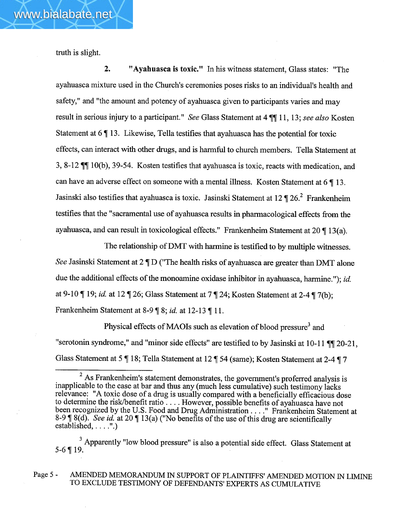truth is slight.

www.bialabate.net

2. " Ayahuasca is toxic." In his witness statement, Glass states: "The ayahuasca mixture used in the Church's ceremonies poses risks to an individual's health and safety," and "the amount and potency of ayahuasca given to participants varies and may result in serious injury to a participant." See Glass Statement at 4  $\P$  11, 13; see also Kosten Statement at  $6 \parallel 13$ . Likewise, Tella testifies that ayahuasca has the potential for toxic effects, can interact with other drugs, and is harmful to church members. Tella Statement at 3, 8-12  $\P$  10(b), 39-54. Kosten testifies that ayahuasca is toxic, reacts with medication, and can have an adverse effect on someone with a mental illness. Kosten Statement at  $6 \nmid 13$ . Jasinski also testifies that ayahuasca is toxic. Jasinski Statement at 12  $\P$  26.<sup>2</sup> Frankenheim testifies that the "sacramental use of ayahuasca results in pharacological effects from the ayahuasca, and can result in toxicological effects." Frankenheim Statement at  $20 \parallel 13(a)$ .

The relationship of DMT with harmine is testified to by multiple witnesses. See Jasinski Statement at  $2 \P D$  ("The health risks of ayahuasca are greater than DMT alone due the additional effects of the monoamine oxidase inhibitor in ayahuasca, harmine."); *id.* at 9-10  $\P$  19; id. at 12  $\P$  26; Glass Statement at 7  $\P$  24; Kosten Statement at 2-4  $\P$  7(b); Frankenheim Statement at 8-9  $\parallel$  8; *id.* at 12-13  $\parallel$  11.

Physical effects of MAOIs such as elevation of blood pressure<sup>3</sup> and "serotonin syndrome," and "minor side effects" are testified to by Jasinski at 10-11  $\P$  $[20-21,$ Glass Statement at 5  $\P$  18; Tella Statement at 12  $\P$  54 (same); Kosten Statement at 2-4  $\P$  7

<sup>3</sup> Apparently "low blood pressure" is also a potential side effect. Glass Statement at  $5-6$  | 19.

### Page 5 - AMENDED MEMORANDUM IN SUPPORT OF PLAINTIFFS' AMENDED MOTION IN LIMINE TO EXCLUDE TESTIMONY OF DEFENDANTS' EXPERTS AS CUMULATIVE

 $2$  As Frankenheim's statement demonstrates, the government's proferred analysis is inapplicable to the case at bar and thus any (much less cumulative) such testimony lacks relevance: "A toxic dose of a drug is usually compared with a beneficially efficacious dose to determine the risk/benefit ratio.... However, possible benefits of ayahuasca have not been recognized by the U.S. Food and Drug Administration . . . ." Frankenheim Statement at 8-9  $\parallel$  8(d). See id. at 20  $\parallel$  13(a) ("No benefits of the use of this drug are scientifically established,  $\dots$ .".)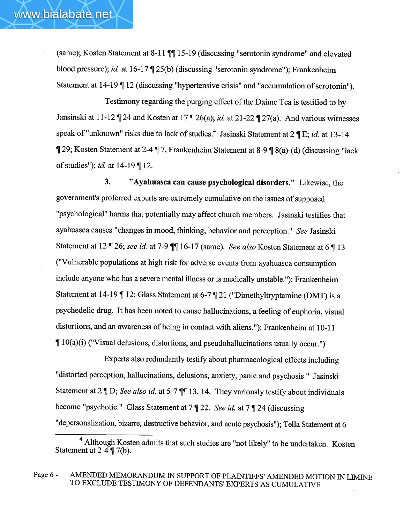(same); Kosten Statement at 8-11  $\P$  $I$  15-19 (discussing "serotonin syndrome" and elevated blood pressure); id. at  $16-17 \sqrt{25(b)}$  (discussing "serotonin syndrome"); Frankenheim Statement at  $14-19$  |  $12$  (discussing "hypertensive crisis" and "accumulation of serotonin").

Testimony regarding the purging effect of the Daime Tea is testified to by Jansinski at 11-12  $\P$  24 and Kosten at 17  $\P$  26(a); id. at 21-22  $\P$  27(a). And various witnesses speak of "unknown" risks due to lack of studies.<sup>4</sup> Jasinski Statement at  $2 \text{ T} E$ ; *id.* at 13-14  $\llbracket$  29; Kosten Statement at 2-4  $\llbracket$  7, Frankenheim Statement at 8-9  $\llbracket$  8(a)-(d) (discussing "lack of studies"); id. at  $14-19$  | 12.

3. "Ayahuasca can cause psychological disorders." Likewise, the government's proferred experts are extremely cumulative on the issues of supposed "psychological" harms that potentially may affect church members. Jasinski testifies that ayahuasca causes "changes in mood, thinking, behavior and perception." See Jasinski Statement at 12 | 26; see id. at 7-9 | 16-17 (same). See also Kosten Statement at 6 | 13 ("Vulnerable populations at high risk for adverse events from ayahuasca consumption include anyone who has a severe mental illness or is medically unstable."); Frankenheim Statement at 14-19  $\P$  12; Glass Statement at 6-7  $\P$  21 ("Dimethyltryptamine (DMT) is a psychedelic drug. It has been noted to cause hallucinations, a feeling of euphoria, visual distortions, and an awareness of being in contact with aliens."); Frankenheim at 10-11  $\parallel$  10(a)(i) ("Visual delusions, distortions, and pseudohallucinations usually occur.")

Experts also redundantly testify about pharmacological effects including "distorted perception, hallucinations, delusions, anxiety, panic and psychosis." Jasinski Statement at 2  $\mathbb{I}$  D; See also id. at 5-7  $\mathbb{I}$  13, 14. They variously testify about individuals become "psychotic." Glass Statement at  $7 \nparallel 22$ . See id. at  $7 \nparallel 24$  (discussing "depersonalization, bizarre, destructive behavior, and acute psychosis"); Tella Statement at 6

4 Although Kosten admits that such studies are "not likely" to be undertaken. Kosten Statement at  $2-4 \overline{y}$  7(b).

Page 6 - AMENDED MEMORANDUM IN SUPPORT OF PLAINTIFFS' AMENDED MOTION IN LIMIN TO EXCLUDE TESTIMONY OF DEFENDANTS' EXPERTS AS CUMULATIVE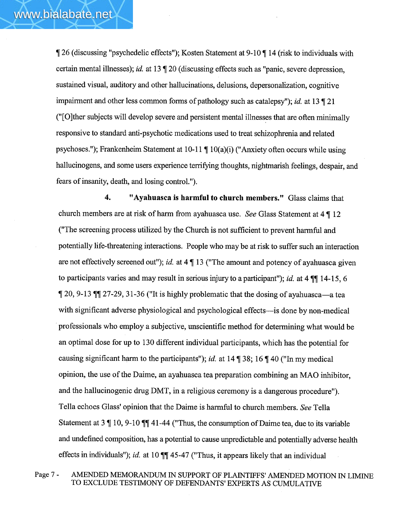$\parallel$  26 (discussing "psychedelic effects"); Kosten Statement at 9-10  $\parallel$  14 (risk to individuals with certain mental illnesses); id. at 13  $\parallel$  20 (discussing effects such as "panic, severe depression, sustained visual, auditory and other hallucinations, delusions, depersonalization, cognitive impairment and other less common forms of pathology such as catalepsy"); *id.* at 13  $\degree$  21 ("(OJther subjects wil develop severe and persistent mental illnesses that are often minimally responsive to standard anti-psychotic medications used to treat schizophrenia and related psychoses."); Frankenheim Statement at  $10-11 \P 10(a)(i)$  ("Anxiety often occurs while using hallucinogens, and some users experience terrifying thoughts, nightmarish feelings, despair, and fears of insanty, death, and losing control. ").

4. "Ayahuasca is harmful to church members." Glass claims that church members are at risk of harm from ayahuasca use. See Glass Statement at  $4 \nmid 12$ ("The screening process utilized by the Church is not suffcient to prevent harful and potentially life-threatenig interactions. People who may be at risk to suffer such an interaction are not effectively screened out"); id. at  $4 \parallel 13$  ("The amount and potency of ayahuasca given to participants varies and may result in serious injury to a participant"); id. at  $4 \sqrt{\pi} 14-15$ , 6  $\parallel$  20, 9-13  $\parallel$  27-29, 31-36 ("It is highly problematic that the dosing of ayahuasca—a tea with significant adverse physiological and psychological effects—is done by non-medical 'professionals who employ a subjective, unscientific method for determining what would be an optimal dose for up to 130 different individual participants, which has the potential for causing significant harm to the participants"); id. at  $14 \sqrt{38}$ ;  $16 \sqrt{40}$  ("In my medical opinion, the use of the Daime, an ayahuasca tea preparation combining an MAO inhibitor, and the hallucinogenic drug DMT, in a religious ceremony is a dangerous procedure"). Tella echoes Glass' opinion that the Daime is harmful to church members. See Tella Statement at 3  $\parallel$  10, 9-10  $\P$  $\parallel$  41-44 ("Thus, the consumption of Daime tea, due to its variable and undefined composition, has a potential to cause unpredictable and potentially adverse health effects in individuals"); id. at 10  $\mathbb{II}$  45-47 ("Thus, it appears likely that an individual

Page 7 - AMENDED MEMORANDUM IN SUPPORT OF PLAINTIFFS' AMENDED MOTION IN LIMINE TO EXCLUDE TESTIMONY OF DEFENDANTS' EXPERTS AS CUMULATIVE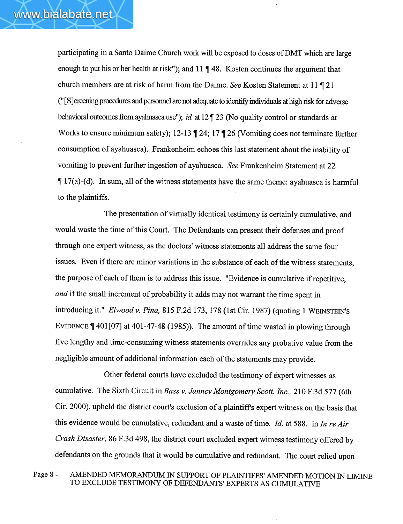participating in a Santo Daime Church work will be exposed to doses of DMT which are large enough to put his or her health at risk"); and  $11 \text{ }\nvert 48$ . Kosten continues the argument that church members are at risk of harm from the Daime. See Kosten Statement at 11  $\sqrt{\ }$  21 ("[S] creening procedures and personnel are not adequate to identify individuals at high risk for adverse behavioral outcomes from ayahuasca use"); id. at  $12 \text{ T } 23$  (No quality control or standards at Works to ensure minimum safety); 12-13  $\parallel$  24; 17  $\parallel$  26 (Vomiting does not terminate further consumption of ayahuasca). Frankenheim echoes this last statement about the inability of vomiting to prevent further ingestion of ayahuasca. See Frankenheim Statement at 22  $\parallel$  17(a)-(d). In sum, all of the witness statements have the same theme: ayahuasca is harmful to the plaintiffs.

The presentation of virtually identical testimony is certainly cumulative, and would waste the time of this Court. The Defendants can present their defenses and proof through one expert witness, as the doctors' witness statements all address the same four issues. Even if there are minor variations in the substance of each of the witness statements, the purpose of each of them is to address this issue. "Evidence is cumulative if repetitive, and if the small increment of probability it adds may not warrant the time spent in introducing it." Elwood v. Pina, 815 F.2d 173, 178 (1st Cir. 1987) (quoting 1 WEINSTEIN'S EVIDENCE  $\P$  401[07] at 401-47-48 (1985)). The amount of time wasted in plowing through five lengthy and time-consuming witness statements overrdes any probative value from the negligible amount of additional information each of the statements may provide.

Other federal courts have excluded the testimony of expert witnesses as cumulative. The Sixth Circuit in Bass v. Janncv Montgomery Scott. Inc., 210 F.3d 577 (6th Cir. 2000), upheld the district court's exclusion of a plaintiffs expert witness on the basis that this evidence would be cumulative, redundant and a waste of time. Id. at 588. In In re Air Crash Disaster, 86 F.3d 498, the district court excluded expert witness testimony offered by defendants on the grounds that it would be cumulative and redundant. The court relied upon

Page 8 - AMENDED MEMORANDUM IN SUPPORT OF PLAINTIFFS' AMENDED MOTION IN LIMINE TO EXCLUDE TESTIMONY OF DEFENDANTS' EXPERTS AS CUMULATIVE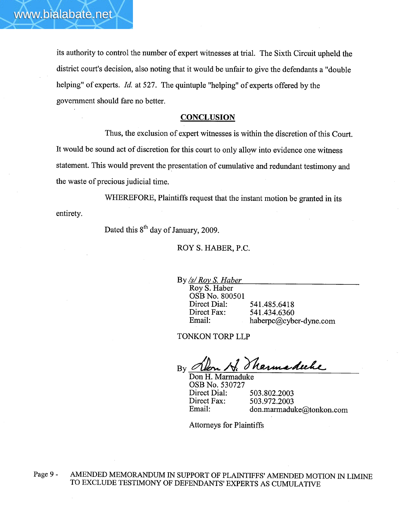its authority to control the number of expert witnesses at triaL. The Sixth Circuit upheld the district court's decision, also noting that it would be unfair to give the defendants a "double helping" of experts. Id. at 527. The quintuple "helping" of experts offered by the government should fare no better.

#### **CONCLUSION**

Thus, the exclusion of expert witnesses is within the discretion of this Court. It would be sound act of discretion for this court to only allow into evidence one witness statement. This would prevent the presentation of cumulative and redundant testimony and the waste of precious judicial time.

WHEREFORE, Plaintiffs request that the instant motion be granted in its entirety.

Dated this  $8^{th}$  day of January, 2009.

ROY S. HABER, P.C.

By /s/ Roy S. Haber

Roy S. Haber OSB No. 800501 Direct Dial: Direct Fax: Email:

541.485.6418 541.434.6360 haberpc@cyber-dyne.com

TONKON TORP LLP

By Olen H. Tharmsdecke

Don H. Marmaduke OSB No. 530727 Direct Dial: Direct Fax: Email:

503.802.2003 503.972.2003 don.marmaduke@tonkon.com

Attorneys for Plaintiffs

Page 9 - AMENDED MEMORANDUM IN SUPPORT OF PLAINTIFFS' AMENDED MOTION IN LIMINE TO EXCLUDE TESTIMONY OF DEFENDANTS' EXPERTS AS CUMULATIVE